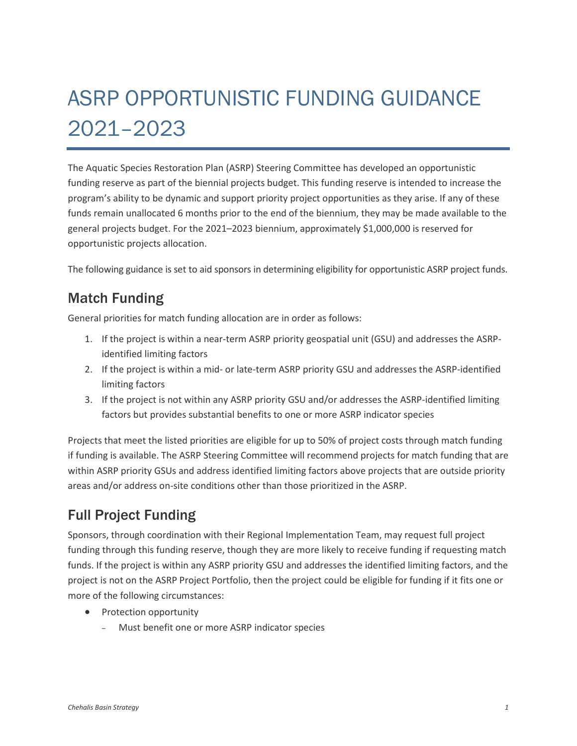## ASRP OPPORTUNISTIC FUNDING GUIDANCE 2021–2023

The Aquatic Species Restoration Plan (ASRP) Steering Committee has developed an opportunistic funding reserve as part of the biennial projects budget. This funding reserve is intended to increase the program's ability to be dynamic and support priority project opportunities as they arise. If any of these funds remain unallocated 6 months prior to the end of the biennium, they may be made available to the general projects budget. For the 2021–2023 biennium, approximately \$1,000,000 is reserved for opportunistic projects allocation.

The following guidance is set to aid sponsors in determining eligibility for opportunistic ASRP project funds.

## Match Funding

General priorities for match funding allocation are in order as follows:

- 1. If the project is within a near-term ASRP priority geospatial unit (GSU) and addresses the ASRPidentified limiting factors
- 2. If the project is within a mid- or late-term ASRP priority GSU and addresses the ASRP-identified limiting factors
- 3. If the project is not within any ASRP priority GSU and/or addresses the ASRP-identified limiting factors but provides substantial benefits to one or more ASRP indicator species

Projects that meet the listed priorities are eligible for up to 50% of project costs through match funding if funding is available. The ASRP Steering Committee will recommend projects for match funding that are within ASRP priority GSUs and address identified limiting factors above projects that are outside priority areas and/or address on-site conditions other than those prioritized in the ASRP.

## Full Project Funding

Sponsors, through coordination with their Regional Implementation Team, may request full project funding through this funding reserve, though they are more likely to receive funding if requesting match funds. If the project is within any ASRP priority GSU and addresses the identified limiting factors, and the project is not on the ASRP Project Portfolio, then the project could be eligible for funding if it fits one or more of the following circumstances:

- Protection opportunity
	- ‒ Must benefit one or more ASRP indicator species